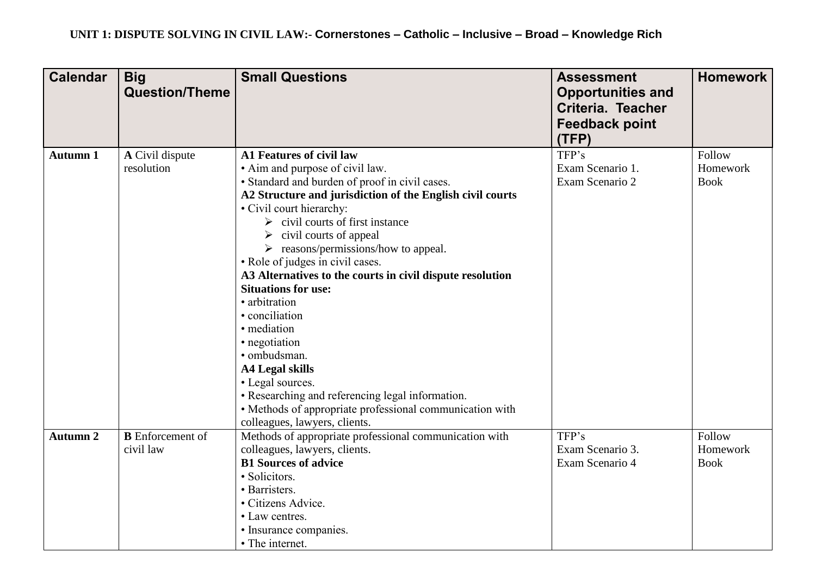| <b>Calendar</b> | <b>Big</b><br><b>Question/Theme</b>  | <b>Small Questions</b>                                                                                                                                                                                                                                                                                                                                                                                                                                                                                                                                                                                                                                                                                                                                           | <b>Assessment</b><br><b>Opportunities and</b><br>Criteria. Teacher<br><b>Feedback point</b><br>(TFP) | <b>Homework</b>                   |
|-----------------|--------------------------------------|------------------------------------------------------------------------------------------------------------------------------------------------------------------------------------------------------------------------------------------------------------------------------------------------------------------------------------------------------------------------------------------------------------------------------------------------------------------------------------------------------------------------------------------------------------------------------------------------------------------------------------------------------------------------------------------------------------------------------------------------------------------|------------------------------------------------------------------------------------------------------|-----------------------------------|
| <b>Autumn 1</b> | A Civil dispute<br>resolution        | A1 Features of civil law<br>• Aim and purpose of civil law.<br>· Standard and burden of proof in civil cases.<br>A2 Structure and jurisdiction of the English civil courts<br>• Civil court hierarchy:<br>civil courts of first instance<br>➤<br>$\triangleright$ civil courts of appeal<br>$\triangleright$ reasons/permissions/how to appeal.<br>• Role of judges in civil cases.<br>A3 Alternatives to the courts in civil dispute resolution<br><b>Situations for use:</b><br>· arbitration<br>• conciliation<br>· mediation<br>• negotiation<br>· ombudsman.<br><b>A4 Legal skills</b><br>• Legal sources.<br>• Researching and referencing legal information.<br>• Methods of appropriate professional communication with<br>colleagues, lawyers, clients. | TFP's<br>Exam Scenario 1.<br>Exam Scenario 2                                                         | Follow<br>Homework<br><b>Book</b> |
| <b>Autumn 2</b> | <b>B</b> Enforcement of<br>civil law | Methods of appropriate professional communication with<br>colleagues, lawyers, clients.<br><b>B1 Sources of advice</b><br>· Solicitors.<br>· Barristers.<br>· Citizens Advice.<br>• Law centres.<br>· Insurance companies.<br>• The internet.                                                                                                                                                                                                                                                                                                                                                                                                                                                                                                                    | TFP's<br>Exam Scenario 3.<br>Exam Scenario 4                                                         | Follow<br>Homework<br><b>Book</b> |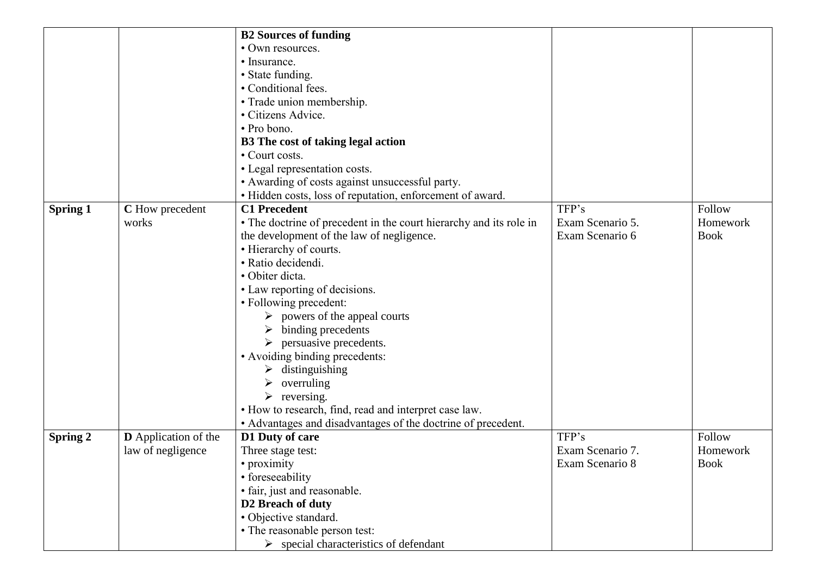|                 |                             | <b>B2 Sources of funding</b>                                       |                  |             |
|-----------------|-----------------------------|--------------------------------------------------------------------|------------------|-------------|
|                 |                             | • Own resources.                                                   |                  |             |
|                 |                             | • Insurance.                                                       |                  |             |
|                 |                             | • State funding.                                                   |                  |             |
|                 |                             | • Conditional fees.                                                |                  |             |
|                 |                             | • Trade union membership.                                          |                  |             |
|                 |                             | · Citizens Advice.                                                 |                  |             |
|                 |                             | • Pro bono.                                                        |                  |             |
|                 |                             | B3 The cost of taking legal action                                 |                  |             |
|                 |                             | • Court costs.                                                     |                  |             |
|                 |                             | • Legal representation costs.                                      |                  |             |
|                 |                             | • Awarding of costs against unsuccessful party.                    |                  |             |
|                 |                             | · Hidden costs, loss of reputation, enforcement of award.          |                  |             |
| <b>Spring 1</b> | C How precedent             | <b>C1 Precedent</b>                                                | TFP's            | Follow      |
|                 | works                       | • The doctrine of precedent in the court hierarchy and its role in | Exam Scenario 5. | Homework    |
|                 |                             | the development of the law of negligence.                          | Exam Scenario 6  | <b>Book</b> |
|                 |                             | • Hierarchy of courts.                                             |                  |             |
|                 |                             | · Ratio decidendi.                                                 |                  |             |
|                 |                             | · Obiter dicta.                                                    |                  |             |
|                 |                             | • Law reporting of decisions.                                      |                  |             |
|                 |                             | • Following precedent:                                             |                  |             |
|                 |                             | $\triangleright$ powers of the appeal courts                       |                  |             |
|                 |                             | binding precedents                                                 |                  |             |
|                 |                             | persuasive precedents.                                             |                  |             |
|                 |                             | • Avoiding binding precedents:                                     |                  |             |
|                 |                             | $\triangleright$ distinguishing                                    |                  |             |
|                 |                             | overruling                                                         |                  |             |
|                 |                             | $\triangleright$ reversing.                                        |                  |             |
|                 |                             | • How to research, find, read and interpret case law.              |                  |             |
|                 |                             | • Advantages and disadvantages of the doctrine of precedent.       |                  |             |
| <b>Spring 2</b> | <b>D</b> Application of the | D1 Duty of care                                                    | TFP's            | Follow      |
|                 | law of negligence           | Three stage test:                                                  | Exam Scenario 7. | Homework    |
|                 |                             | • proximity                                                        | Exam Scenario 8  | <b>Book</b> |
|                 |                             | • foreseeability                                                   |                  |             |
|                 |                             | · fair, just and reasonable.                                       |                  |             |
|                 |                             | D2 Breach of duty                                                  |                  |             |
|                 |                             | · Objective standard.                                              |                  |             |
|                 |                             | • The reasonable person test:                                      |                  |             |
|                 |                             | $\triangleright$ special characteristics of defendant              |                  |             |